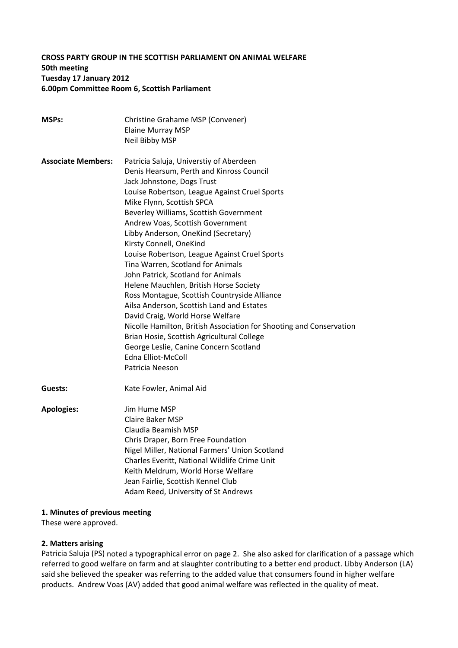### **CROSS PARTY GROUP IN THE SCOTTISH PARLIAMENT ON ANIMAL WELFARE 50th meeting Tuesday 17 January 2012 6.00pm Committee Room 6, Scottish Parliament**

| <b>MSPs:</b>              | Christine Grahame MSP (Convener)                                    |
|---------------------------|---------------------------------------------------------------------|
|                           | <b>Elaine Murray MSP</b>                                            |
|                           | Neil Bibby MSP                                                      |
| <b>Associate Members:</b> | Patricia Saluja, Universtiy of Aberdeen                             |
|                           | Denis Hearsum, Perth and Kinross Council                            |
|                           | Jack Johnstone, Dogs Trust                                          |
|                           | Louise Robertson, League Against Cruel Sports                       |
|                           | Mike Flynn, Scottish SPCA                                           |
|                           | Beverley Williams, Scottish Government                              |
|                           | Andrew Voas, Scottish Government                                    |
|                           | Libby Anderson, OneKind (Secretary)                                 |
|                           | Kirsty Connell, OneKind                                             |
|                           | Louise Robertson, League Against Cruel Sports                       |
|                           | Tina Warren, Scotland for Animals                                   |
|                           | John Patrick, Scotland for Animals                                  |
|                           | Helene Mauchlen, British Horse Society                              |
|                           | Ross Montague, Scottish Countryside Alliance                        |
|                           | Ailsa Anderson, Scottish Land and Estates                           |
|                           | David Craig, World Horse Welfare                                    |
|                           | Nicolle Hamilton, British Association for Shooting and Conservation |
|                           | Brian Hosie, Scottish Agricultural College                          |
|                           | George Leslie, Canine Concern Scotland                              |
|                           | <b>Edna Elliot-McColl</b>                                           |
|                           | Patricia Neeson                                                     |
| Guests:                   | Kate Fowler, Animal Aid                                             |
| <b>Apologies:</b>         | Jim Hume MSP                                                        |
|                           | <b>Claire Baker MSP</b>                                             |
|                           | Claudia Beamish MSP                                                 |
|                           | Chris Draper, Born Free Foundation                                  |
|                           | Nigel Miller, National Farmers' Union Scotland                      |
|                           | Charles Everitt, National Wildlife Crime Unit                       |
|                           | Keith Meldrum, World Horse Welfare                                  |
|                           | Jean Fairlie, Scottish Kennel Club                                  |
|                           | Adam Reed, University of St Andrews                                 |
|                           |                                                                     |

# **1. Minutes of previous meeting**

These were approved.

### **2. Matters arising**

Patricia Saluja (PS) noted a typographical error on page 2. She also asked for clarification of a passage which referred to good welfare on farm and at slaughter contributing to a better end product. Libby Anderson (LA) said she believed the speaker was referring to the added value that consumers found in higher welfare products. Andrew Voas (AV) added that good animal welfare was reflected in the quality of meat.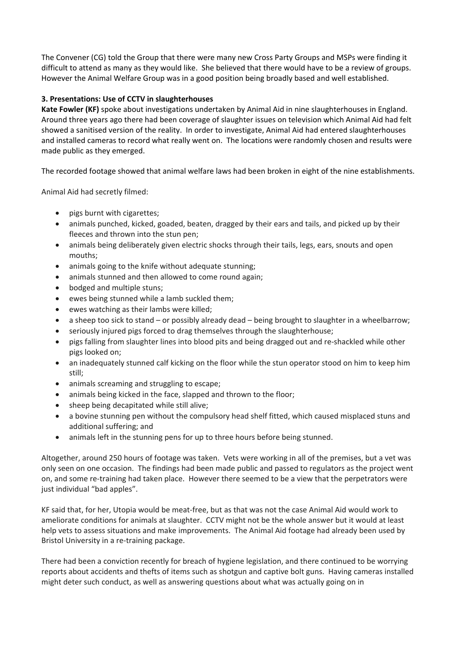The Convener (CG) told the Group that there were many new Cross Party Groups and MSPs were finding it difficult to attend as many as they would like. She believed that there would have to be a review of groups. However the Animal Welfare Group was in a good position being broadly based and well established.

## **3. Presentations: Use of CCTV in slaughterhouses**

**Kate Fowler (KF)** spoke about investigations undertaken by Animal Aid in nine slaughterhouses in England. Around three years ago there had been coverage of slaughter issues on television which Animal Aid had felt showed a sanitised version of the reality. In order to investigate, Animal Aid had entered slaughterhouses and installed cameras to record what really went on. The locations were randomly chosen and results were made public as they emerged.

The recorded footage showed that animal welfare laws had been broken in eight of the nine establishments.

Animal Aid had secretly filmed:

- pigs burnt with cigarettes;
- animals punched, kicked, goaded, beaten, dragged by their ears and tails, and picked up by their fleeces and thrown into the stun pen;
- animals being deliberately given electric shocks through their tails, legs, ears, snouts and open mouths;
- animals going to the knife without adequate stunning;
- animals stunned and then allowed to come round again;
- bodged and multiple stuns;
- ewes being stunned while a lamb suckled them;
- ewes watching as their lambs were killed;
- a sheep too sick to stand or possibly already dead being brought to slaughter in a wheelbarrow;
- seriously injured pigs forced to drag themselves through the slaughterhouse;
- pigs falling from slaughter lines into blood pits and being dragged out and re-shackled while other pigs looked on;
- an inadequately stunned calf kicking on the floor while the stun operator stood on him to keep him still;
- animals screaming and struggling to escape;
- animals being kicked in the face, slapped and thrown to the floor;
- sheep being decapitated while still alive;
- a bovine stunning pen without the compulsory head shelf fitted, which caused misplaced stuns and additional suffering; and
- animals left in the stunning pens for up to three hours before being stunned.

Altogether, around 250 hours of footage was taken. Vets were working in all of the premises, but a vet was only seen on one occasion. The findings had been made public and passed to regulators as the project went on, and some re‐training had taken place. However there seemed to be a view that the perpetrators were just individual "bad apples".

KF said that, for her, Utopia would be meat‐free, but as that was not the case Animal Aid would work to ameliorate conditions for animals at slaughter. CCTV might not be the whole answer but it would at least help vets to assess situations and make improvements. The Animal Aid footage had already been used by Bristol University in a re‐training package.

There had been a conviction recently for breach of hygiene legislation, and there continued to be worrying reports about accidents and thefts of items such as shotgun and captive bolt guns. Having cameras installed might deter such conduct, as well as answering questions about what was actually going on in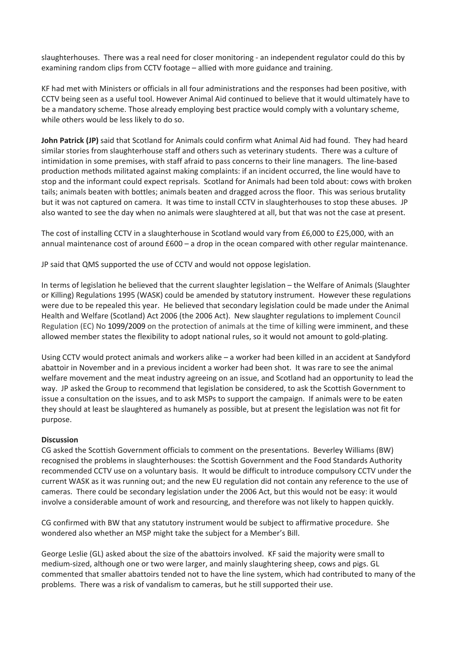slaughterhouses. There was a real need for closer monitoring ‐ an independent regulator could do this by examining random clips from CCTV footage – allied with more guidance and training.

KF had met with Ministers or officials in all four administrations and the responses had been positive, with CCTV being seen as a useful tool. However Animal Aid continued to believe that it would ultimately have to be a mandatory scheme. Those already employing best practice would comply with a voluntary scheme, while others would be less likely to do so.

**John Patrick (JP)** said that Scotland for Animals could confirm what Animal Aid had found. They had heard similar stories from slaughterhouse staff and others such as veterinary students. There was a culture of intimidation in some premises, with staff afraid to pass concerns to their line managers. The line‐based production methods militated against making complaints: if an incident occurred, the line would have to stop and the informant could expect reprisals. Scotland for Animals had been told about: cows with broken tails; animals beaten with bottles; animals beaten and dragged across the floor. This was serious brutality but it was not captured on camera. It was time to install CCTV in slaughterhouses to stop these abuses. JP also wanted to see the day when no animals were slaughtered at all, but that was not the case at present.

The cost of installing CCTV in a slaughterhouse in Scotland would vary from £6,000 to £25,000, with an annual maintenance cost of around £600 – a drop in the ocean compared with other regular maintenance.

JP said that QMS supported the use of CCTV and would not oppose legislation.

In terms of legislation he believed that the current slaughter legislation – the Welfare of Animals (Slaughter or Killing) Regulations 1995 (WASK) could be amended by statutory instrument. However these regulations were due to be repealed this year. He believed that secondary legislation could be made under the Animal Health and Welfare (Scotland) Act 2006 (the 2006 Act). New slaughter regulations to implement Council Regulation (EC) No 1099/2009 on the protection of animals at the time of killing were imminent, and these allowed member states the flexibility to adopt national rules, so it would not amount to gold‐plating.

Using CCTV would protect animals and workers alike – a worker had been killed in an accident at Sandyford abattoir in November and in a previous incident a worker had been shot. It was rare to see the animal welfare movement and the meat industry agreeing on an issue, and Scotland had an opportunity to lead the way. JP asked the Group to recommend that legislation be considered, to ask the Scottish Government to issue a consultation on the issues, and to ask MSPs to support the campaign. If animals were to be eaten they should at least be slaughtered as humanely as possible, but at present the legislation was not fit for purpose.

#### **Discussion**

CG asked the Scottish Government officials to comment on the presentations. Beverley Williams (BW) recognised the problems in slaughterhouses: the Scottish Government and the Food Standards Authority recommended CCTV use on a voluntary basis. It would be difficult to introduce compulsory CCTV under the current WASK as it was running out; and the new EU regulation did not contain any reference to the use of cameras. There could be secondary legislation under the 2006 Act, but this would not be easy: it would involve a considerable amount of work and resourcing, and therefore was not likely to happen quickly.

CG confirmed with BW that any statutory instrument would be subject to affirmative procedure. She wondered also whether an MSP might take the subject for a Member's Bill.

George Leslie (GL) asked about the size of the abattoirs involved. KF said the majority were small to medium‐sized, although one or two were larger, and mainly slaughtering sheep, cows and pigs. GL commented that smaller abattoirs tended not to have the line system, which had contributed to many of the problems. There was a risk of vandalism to cameras, but he still supported their use.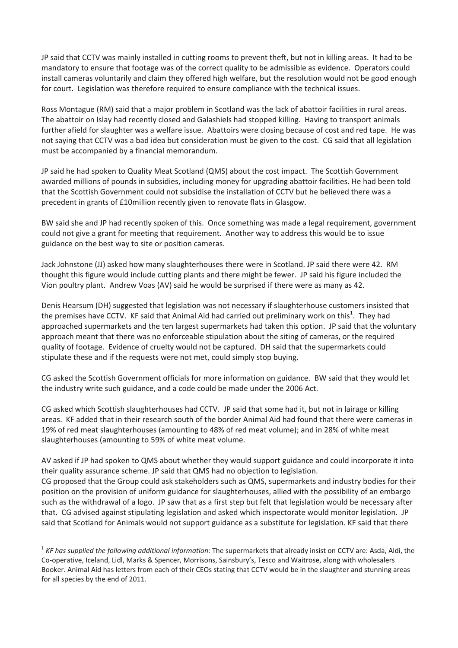JP said that CCTV was mainly installed in cutting rooms to prevent theft, but not in killing areas. It had to be mandatory to ensure that footage was of the correct quality to be admissible as evidence. Operators could install cameras voluntarily and claim they offered high welfare, but the resolution would not be good enough for court. Legislation was therefore required to ensure compliance with the technical issues.

Ross Montague (RM) said that a major problem in Scotland was the lack of abattoir facilities in rural areas. The abattoir on Islay had recently closed and Galashiels had stopped killing. Having to transport animals further afield for slaughter was a welfare issue. Abattoirs were closing because of cost and red tape. He was not saying that CCTV was a bad idea but consideration must be given to the cost. CG said that all legislation must be accompanied by a financial memorandum.

JP said he had spoken to Quality Meat Scotland (QMS) about the cost impact. The Scottish Government awarded millions of pounds in subsidies, including money for upgrading abattoir facilities. He had been told that the Scottish Government could not subsidise the installation of CCTV but he believed there was a precedent in grants of £10million recently given to renovate flats in Glasgow.

BW said she and JP had recently spoken of this. Once something was made a legal requirement, government could not give a grant for meeting that requirement. Another way to address this would be to issue guidance on the best way to site or position cameras.

Jack Johnstone (JJ) asked how many slaughterhouses there were in Scotland. JP said there were 42. RM thought this figure would include cutting plants and there might be fewer. JP said his figure included the Vion poultry plant. Andrew Voas (AV) said he would be surprised if there were as many as 42.

Denis Hearsum (DH) suggested that legislation was not necessary if slaughterhouse customers insisted that the premises have CCTV. KF said that Animal Aid had carried out preliminary work on this<sup>1</sup>. They had approached supermarkets and the ten largest supermarkets had taken this option. JP said that the voluntary approach meant that there was no enforceable stipulation about the siting of cameras, or the required quality of footage. Evidence of cruelty would not be captured. DH said that the supermarkets could stipulate these and if the requests were not met, could simply stop buying.

CG asked the Scottish Government officials for more information on guidance. BW said that they would let the industry write such guidance, and a code could be made under the 2006 Act.

CG asked which Scottish slaughterhouses had CCTV. JP said that some had it, but not in lairage or killing areas. KF added that in their research south of the border Animal Aid had found that there were cameras in 19% of red meat slaughterhouses (amounting to 48% of red meat volume); and in 28% of white meat slaughterhouses (amounting to 59% of white meat volume.

AV asked if JP had spoken to QMS about whether they would support guidance and could incorporate it into their quality assurance scheme. JP said that QMS had no objection to legislation.

CG proposed that the Group could ask stakeholders such as QMS, supermarkets and industry bodies for their position on the provision of uniform guidance for slaughterhouses, allied with the possibility of an embargo such as the withdrawal of a logo. JP saw that as a first step but felt that legislation would be necessary after that. CG advised against stipulating legislation and asked which inspectorate would monitor legislation. JP said that Scotland for Animals would not support guidance as a substitute for legislation. KF said that there

 $\overline{a}$ 

<sup>1</sup> *KF has supplied the following additional information:* The supermarkets that already insist on CCTV are: Asda, Aldi, the Co-operative, Iceland, Lidl, Marks & Spencer, Morrisons, Sainsbury's, Tesco and Waitrose, along with wholesalers Booker. Animal Aid has letters from each of their CEOs stating that CCTV would be in the slaughter and stunning areas for all species by the end of 2011.